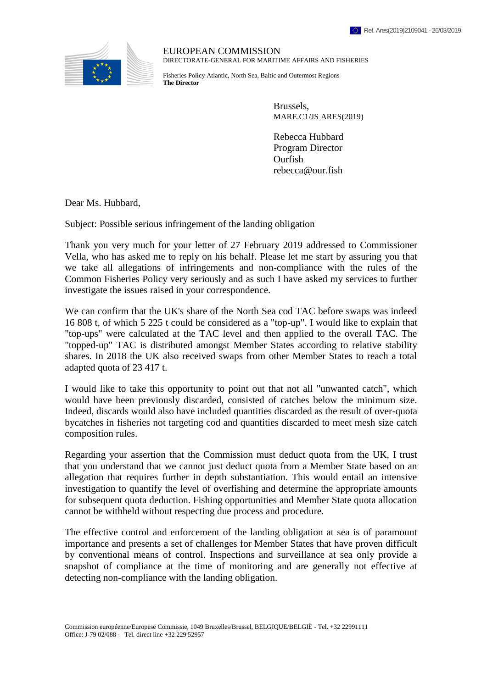

EUROPEAN COMMISSION DIRECTORATE-GENERAL FOR MARITIME AFFAIRS AND FISHERIES

Fisheries Policy Atlantic, North Sea, Baltic and Outermost Regions **The Director**

> Brussels, MARE.C1/JS ARES(2019)

Rebecca Hubbard Program Director Ourfish rebecca@our.fish

Dear Ms. Hubbard,

Subject: Possible serious infringement of the landing obligation

Thank you very much for your letter of 27 February 2019 addressed to Commissioner Vella, who has asked me to reply on his behalf. Please let me start by assuring you that we take all allegations of infringements and non-compliance with the rules of the Common Fisheries Policy very seriously and as such I have asked my services to further investigate the issues raised in your correspondence.

We can confirm that the UK's share of the North Sea cod TAC before swaps was indeed 16 808 t, of which 5 225 t could be considered as a "top-up". I would like to explain that "top-ups" were calculated at the TAC level and then applied to the overall TAC. The "topped-up" TAC is distributed amongst Member States according to relative stability shares. In 2018 the UK also received swaps from other Member States to reach a total adapted quota of 23 417 t.

I would like to take this opportunity to point out that not all "unwanted catch", which would have been previously discarded, consisted of catches below the minimum size. Indeed, discards would also have included quantities discarded as the result of over-quota bycatches in fisheries not targeting cod and quantities discarded to meet mesh size catch composition rules.

Regarding your assertion that the Commission must deduct quota from the UK, I trust that you understand that we cannot just deduct quota from a Member State based on an allegation that requires further in depth substantiation. This would entail an intensive investigation to quantify the level of overfishing and determine the appropriate amounts for subsequent quota deduction. Fishing opportunities and Member State quota allocation cannot be withheld without respecting due process and procedure.

The effective control and enforcement of the landing obligation at sea is of paramount importance and presents a set of challenges for Member States that have proven difficult by conventional means of control. Inspections and surveillance at sea only provide a snapshot of compliance at the time of monitoring and are generally not effective at detecting non-compliance with the landing obligation.